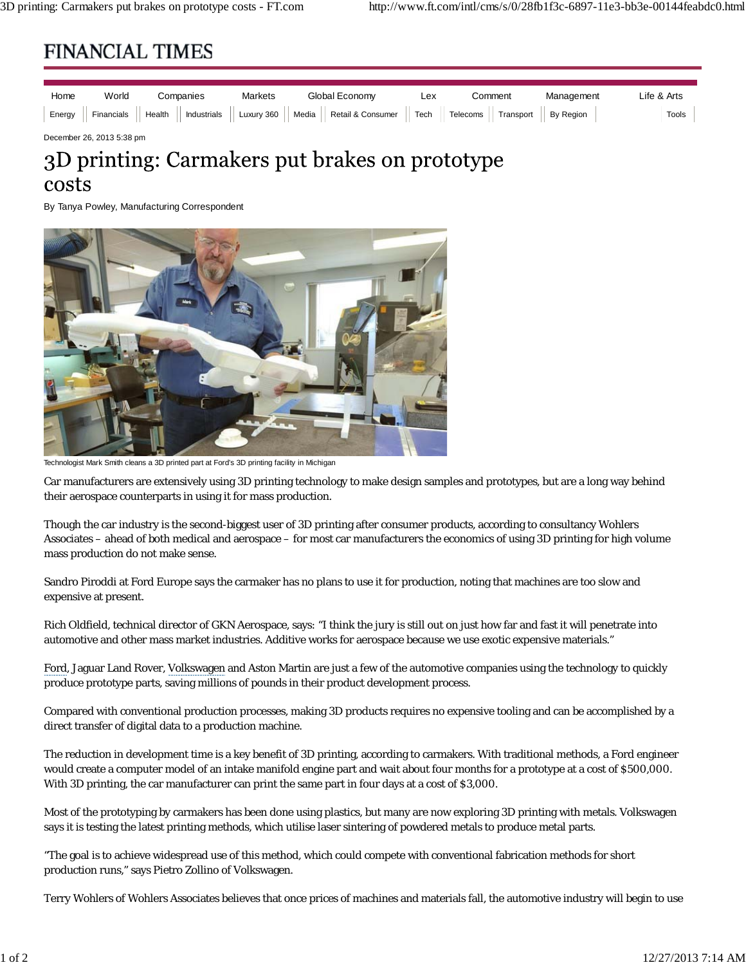## **FINANCIAL TIMES**

| Home | World | Companies | <b>Markets</b> | Global Economy                                                                                                  | Lex | `omment | Management | ∟ife & Arts |
|------|-------|-----------|----------------|-----------------------------------------------------------------------------------------------------------------|-----|---------|------------|-------------|
|      |       |           |                | Energy Financials   Health   Industrials   Luxury 360   Media   Retail & Consumer   Tech   Telecoms   Transport |     |         | By Region  | Tools       |

December 26, 2013 5:38 pm

# 3D printing: Carmakers put brakes on prototype costs

By Tanya Powley, Manufacturing Correspondent



Technologist Mark Smith cleans a 3D printed part at Ford's 3D printing facility in Michigan

Car manufacturers are extensively using 3D printing technology to make design samples and prototypes, but are a long way behind their aerospace counterparts in using it for mass production.

Though the car industry is the second-biggest user of 3D printing after consumer products, according to consultancy Wohlers Associates – ahead of both medical and aerospace – for most car manufacturers the economics of using 3D printing for high volume mass production do not make sense.

Sandro Piroddi at Ford Europe says the carmaker has no plans to use it for production, noting that machines are too slow and expensive at present.

Rich Oldfield, technical director of GKN Aerospace, says: "I think the jury is still out on just how far and fast it will penetrate into automotive and other mass market industries. Additive works for aerospace because we use exotic expensive materials."

Ford, Jaguar Land Rover, Volkswagen and Aston Martin are just a few of the automotive companies using the technology to quickly produce prototype parts, saving millions of pounds in their product development process.

Compared with conventional production processes, making 3D products requires no expensive tooling and can be accomplished by a direct transfer of digital data to a production machine.

The reduction in development time is a key benefit of 3D printing, according to carmakers. With traditional methods, a Ford engineer would create a computer model of an intake manifold engine part and wait about four months for a prototype at a cost of \$500,000. With 3D printing, the car manufacturer can print the same part in four days at a cost of \$3,000.

Most of the prototyping by carmakers has been done using plastics, but many are now exploring 3D printing with metals. Volkswagen says it is testing the latest printing methods, which utilise laser sintering of powdered metals to produce metal parts.

"The goal is to achieve widespread use of this method, which could compete with conventional fabrication methods for short production runs," says Pietro Zollino of Volkswagen.

Terry Wohlers of Wohlers Associates believes that once prices of machines and materials fall, the automotive industry will begin to use